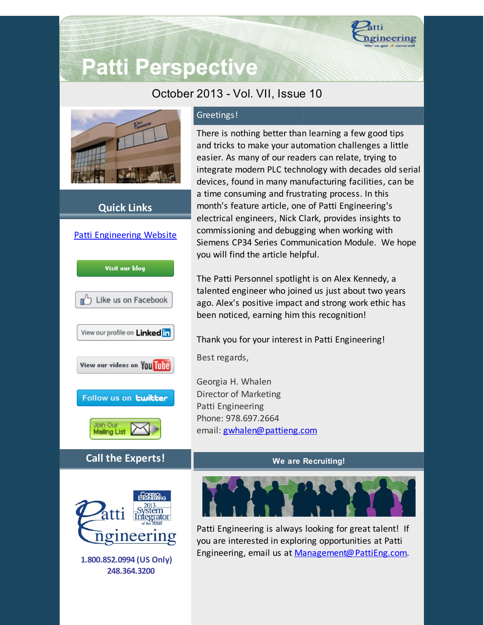

# **Patti Perspective**

## October 2013 - Vol. VII, Issue 10



### **Quick Links**



Greetings!

There is nothing better than learning a few good tips and tricks to make your automation challenges a little easier. As many of our readers can relate, trying to integrate modern PLC technology with decades old serial devices, found in many manufacturing facilities, can be a time consuming and frustrating process. In this month's feature article, one of Patti Engineering's electrical engineers, Nick Clark, provides insights to commissioning and debugging when working with Siemens CP34 Series Communication Module. We hope you will find the article helpful.

The Patti Personnel spotlight is on Alex Kennedy, a talented engineer who joined us just about two years ago. Alex's positive impact and strong work ethic has been noticed, earning him this recognition!

Thank you for your interest in Patti Engineering!

Best regards,

Georgia H. Whalen Director of Marketing Patti Engineering Phone: 978.697.2664 email: [gwhalen@pattieng.com](mailto:gwhalen@pattieng.com)

#### **We are Recruiting!**



Patti Engineering is always looking for great talent! If you are interested in exploring opportunities at Patti Engineering, email us at [Management@PattiEng.com.](mailto:management@pattieng.com)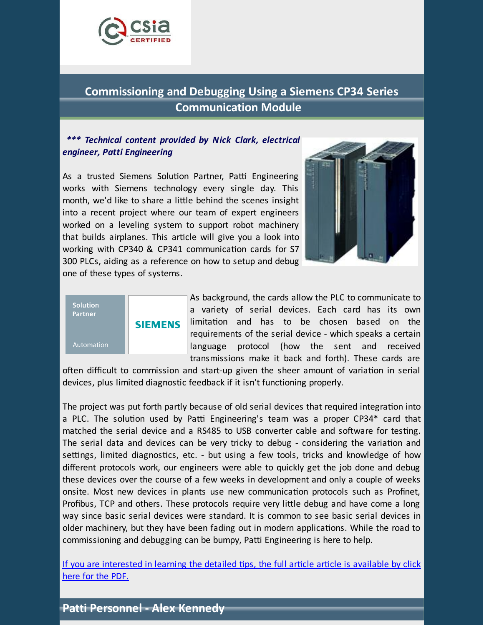

# **Commissioning and Debugging Using a Siemens CP34 Series Communication Module**

#### *\*\*\* Technical content provided by Nick Clark, electrical engineer, Patti Engineering*

As a trusted Siemens Solution Partner, Patti Engineering works with Siemens technology every single day. This month, we'd like to share a little behind the scenes insight into a recent project where our team of expert engineers worked on a leveling system to support robot machinery that builds airplanes. This article will give you a look into working with CP340 & CP341 communication cards for S7 300 PLCs, aiding as a reference on how to setup and debug one of these types of systems.





As background, the cards allow the PLC to communicate to a variety of serial devices. Each card has its own limitation and has to be chosen based on the requirements of the serial device - which speaks a certain language protocol (how the sent and received transmissions make it back and forth). These cards are

often difficult to commission and start-up given the sheer amount of variation in serial devices, plus limited diagnostic feedback if it isn't functioning properly.

The project was put forth partly because of old serial devices that required integration into a PLC. The solution used by Patti Engineering's team was a proper CP34\* card that matched the serial device and a RS485 to USB converter cable and software for testing. The serial data and devices can be very tricky to debug - considering the variation and settings, limited diagnostics, etc. - but using a few tools, tricks and knowledge of how different protocols work, our engineers were able to quickly get the job done and debug these devices over the course of a few weeks in development and only a couple of weeks onsite. Most new devices in plants use new communication protocols such as Profinet, Profibus, TCP and others. These protocols require very little debug and have come a long way since basic serial devices were standard. It is common to see basic serial devices in older machinery, but they have been fading out in modern applications. While the road to commissioning and debugging can be bumpy, Patti Engineering is here to help.

If you are [interested](https://origin.library.constantcontact.com/doc205/1101449641109/doc/qct5agsRn9BZd4Kg.pdf) in learning the detailed tips, the full article article is available by click here for the PDF.

## **Patti Personnel - Alex Kennedy**